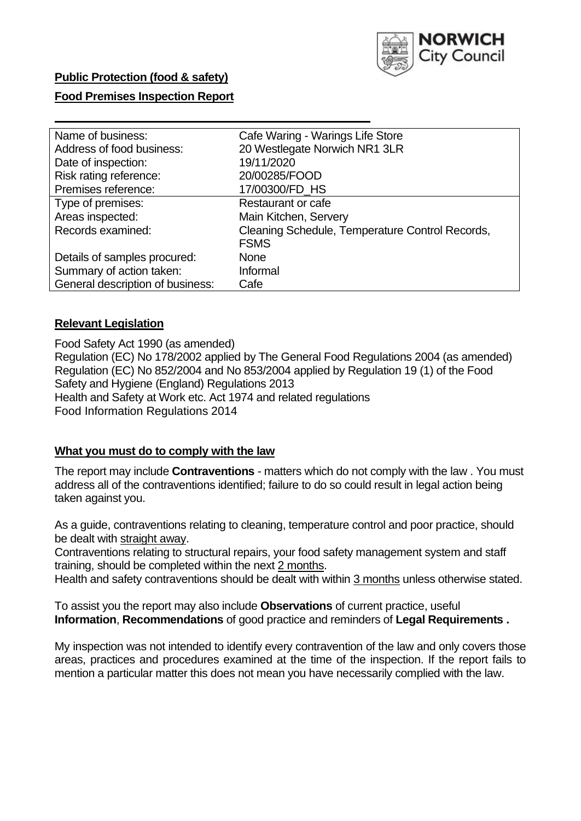

## **Public Protection (food & safety)**

### **Food Premises Inspection Report**

| Name of business:                | Cafe Waring - Warings Life Store                |
|----------------------------------|-------------------------------------------------|
| Address of food business:        | 20 Westlegate Norwich NR1 3LR                   |
| Date of inspection:              | 19/11/2020                                      |
| Risk rating reference:           | 20/00285/FOOD                                   |
| Premises reference:              | 17/00300/FD_HS                                  |
| Type of premises:                | Restaurant or cafe                              |
| Areas inspected:                 | Main Kitchen, Servery                           |
| Records examined:                | Cleaning Schedule, Temperature Control Records, |
|                                  | <b>FSMS</b>                                     |
| Details of samples procured:     | <b>None</b>                                     |
| Summary of action taken:         | Informal                                        |
| General description of business: | Cafe                                            |

### **Relevant Legislation**

 Food Safety Act 1990 (as amended) Regulation (EC) No 178/2002 applied by The General Food Regulations 2004 (as amended) Regulation (EC) No 852/2004 and No 853/2004 applied by Regulation 19 (1) of the Food Safety and Hygiene (England) Regulations 2013 Health and Safety at Work etc. Act 1974 and related regulations Food Information Regulations 2014

#### **What you must do to comply with the law**

 The report may include **Contraventions** - matters which do not comply with the law . You must address all of the contraventions identified; failure to do so could result in legal action being taken against you.

 As a guide, contraventions relating to cleaning, temperature control and poor practice, should be dealt with straight away.

 Contraventions relating to structural repairs, your food safety management system and staff training, should be completed within the next 2 months.

Health and safety contraventions should be dealt with within 3 months unless otherwise stated.

 To assist you the report may also include **Observations** of current practice, useful **Information**, **Recommendations** of good practice and reminders of **Legal Requirements .** 

 My inspection was not intended to identify every contravention of the law and only covers those areas, practices and procedures examined at the time of the inspection. If the report fails to mention a particular matter this does not mean you have necessarily complied with the law.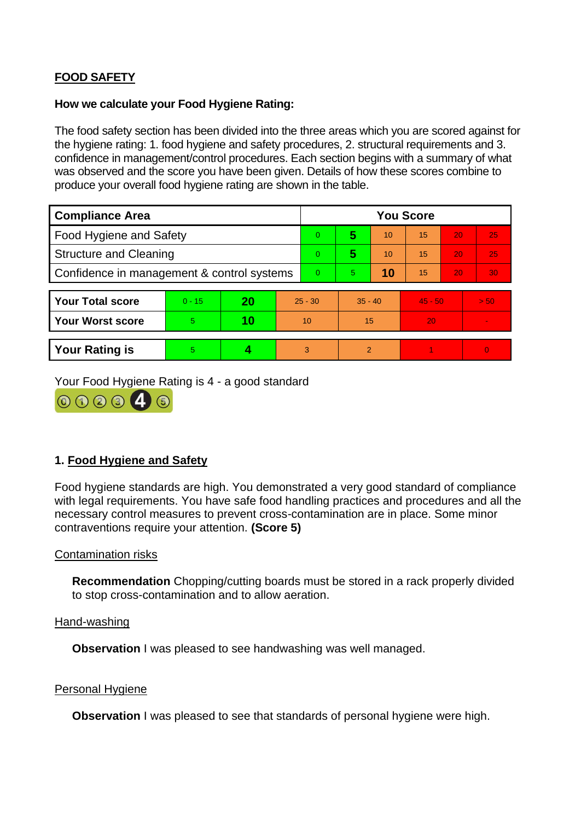# **FOOD SAFETY**

### **How we calculate your Food Hygiene Rating:**

 The food safety section has been divided into the three areas which you are scored against for the hygiene rating: 1. food hygiene and safety procedures, 2. structural requirements and 3. confidence in management/control procedures. Each section begins with a summary of what was observed and the score you have been given. Details of how these scores combine to produce your overall food hygiene rating are shown in the table.

| <b>Compliance Area</b>                     |          |    |                | <b>You Score</b> |                |    |           |    |                |  |  |
|--------------------------------------------|----------|----|----------------|------------------|----------------|----|-----------|----|----------------|--|--|
| Food Hygiene and Safety                    |          |    |                | $\Omega$         | 5              | 10 | 15        | 20 | 25             |  |  |
| <b>Structure and Cleaning</b>              |          |    | $\Omega$       | 5                | 10             | 15 | 20        | 25 |                |  |  |
| Confidence in management & control systems |          |    | $\overline{0}$ | 5                | 10             | 15 | 20        | 30 |                |  |  |
|                                            |          |    |                |                  |                |    |           |    |                |  |  |
| <b>Your Total score</b>                    | $0 - 15$ | 20 | $25 - 30$      |                  | $35 - 40$      |    | $45 - 50$ |    | > 50           |  |  |
| <b>Your Worst score</b>                    | 5        | 10 | 10             |                  | 15             |    | 20        |    | $\blacksquare$ |  |  |
|                                            |          |    |                |                  |                |    |           |    |                |  |  |
| <b>Your Rating is</b>                      | 5        |    |                | 3                | $\overline{2}$ |    |           |    | $\Omega$       |  |  |

Your Food Hygiene Rating is 4 - a good standard



# **1. Food Hygiene and Safety**

 with legal requirements. You have safe food handling practices and procedures and all the Food hygiene standards are high. You demonstrated a very good standard of compliance necessary control measures to prevent cross-contamination are in place. Some minor contraventions require your attention. **(Score 5)** 

## Contamination risks

**Recommendation** Chopping/cutting boards must be stored in a rack properly divided to stop cross-contamination and to allow aeration.

Hand-washing

**Observation** I was pleased to see handwashing was well managed.

#### Personal Hygiene

**Observation** I was pleased to see that standards of personal hygiene were high.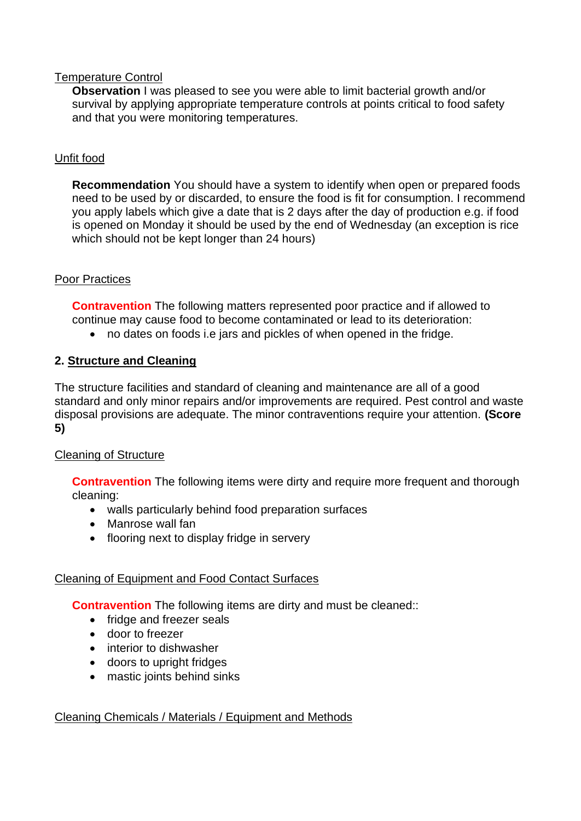## Temperature Control

**Observation** I was pleased to see you were able to limit bacterial growth and/or survival by applying appropriate temperature controls at points critical to food safety and that you were monitoring temperatures.

# Unfit food

**Recommendation** You should have a system to identify when open or prepared foods need to be used by or discarded, to ensure the food is fit for consumption. I recommend you apply labels which give a date that is 2 days after the day of production e.g. if food is opened on Monday it should be used by the end of Wednesday (an exception is rice which should not be kept longer than 24 hours)

# Poor Practices

 **Contravention** The following matters represented poor practice and if allowed to continue may cause food to become contaminated or lead to its deterioration:

• no dates on foods i.e jars and pickles of when opened in the fridge.

# **2. Structure and Cleaning**

 The structure facilities and standard of cleaning and maintenance are all of a good standard and only minor repairs and/or improvements are required. Pest control and waste disposal provisions are adequate. The minor contraventions require your attention. **(Score 5)** 

# Cleaning of Structure

**Contravention** The following items were dirty and require more frequent and thorough cleaning:

- walls particularly behind food preparation surfaces
- Manrose wall fan
- flooring next to display fridge in servery

# Cleaning of Equipment and Food Contact Surfaces

**Contravention** The following items are dirty and must be cleaned::

- fridge and freezer seals
- door to freezer
- interior to dishwasher
- doors to upright fridges
- mastic joints behind sinks

# Cleaning Chemicals / Materials / Equipment and Methods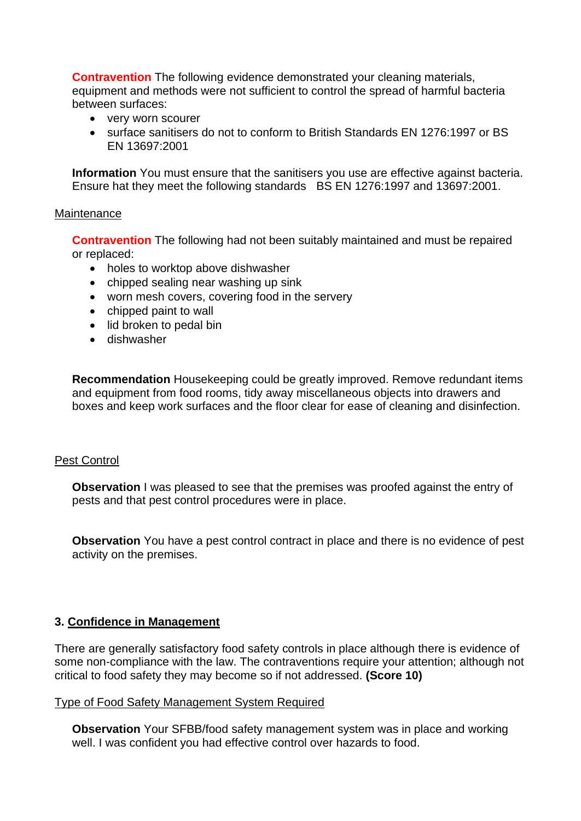**Contravention** The following evidence demonstrated your cleaning materials, equipment and methods were not sufficient to control the spread of harmful bacteria between surfaces:

- very worn scourer
- • surface sanitisers do not to conform to British Standards EN 1276:1997 or BS EN 13697:2001

 **Information** You must ensure that the sanitisers you use are effective against bacteria. Ensure hat they meet the following standards BS EN 1276:1997 and 13697:2001.

#### **Maintenance**

**Contravention** The following had not been suitably maintained and must be repaired or replaced:

- holes to worktop above dishwasher
- chipped sealing near washing up sink
- worn mesh covers, covering food in the servery
- chipped paint to wall
- lid broken to pedal bin
- dishwasher

**Recommendation** Housekeeping could be greatly improved. Remove redundant items and equipment from food rooms, tidy away miscellaneous objects into drawers and boxes and keep work surfaces and the floor clear for ease of cleaning and disinfection.

## Pest Control

**Observation** I was pleased to see that the premises was proofed against the entry of pests and that pest control procedures were in place.

 **Observation** You have a pest control contract in place and there is no evidence of pest activity on the premises.

## **3. Confidence in Management**

 There are generally satisfactory food safety controls in place although there is evidence of some non-compliance with the law. The contraventions require your attention; although not critical to food safety they may become so if not addressed. **(Score 10)** 

#### Type of Food Safety Management System Required

**Observation** Your SFBB/food safety management system was in place and working well. I was confident you had effective control over hazards to food.